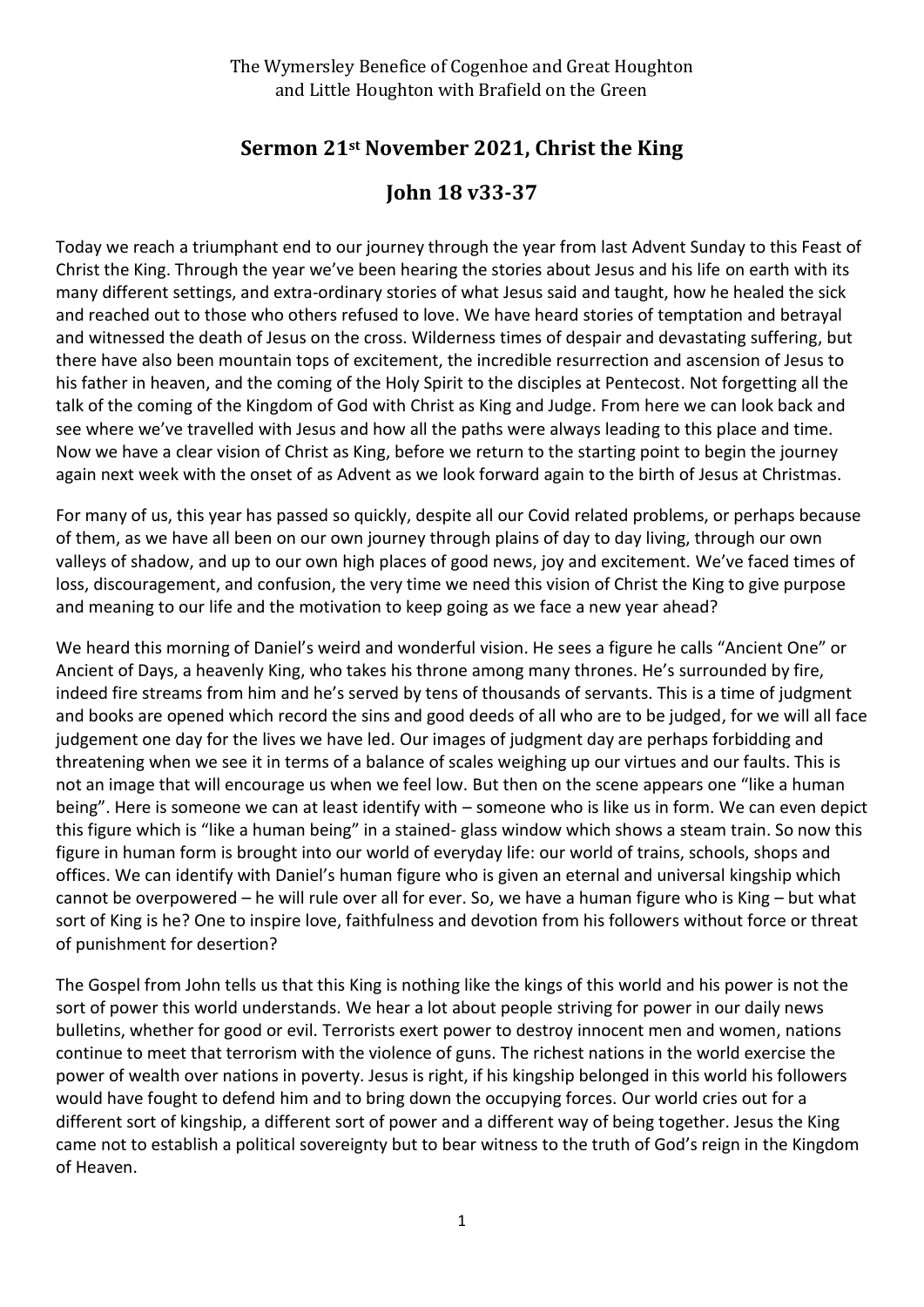## The Wymersley Benefice of Cogenhoe and Great Houghton and Little Houghton with Brafield on the Green

## **Sermon 21st November 2021, Christ the King**

## **John 18 v33-37**

Today we reach a triumphant end to our journey through the year from last Advent Sunday to this Feast of Christ the King. Through the year we've been hearing the stories about Jesus and his life on earth with its many different settings, and extra-ordinary stories of what Jesus said and taught, how he healed the sick and reached out to those who others refused to love. We have heard stories of temptation and betrayal and witnessed the death of Jesus on the cross. Wilderness times of despair and devastating suffering, but there have also been mountain tops of excitement, the incredible resurrection and ascension of Jesus to his father in heaven, and the coming of the Holy Spirit to the disciples at Pentecost. Not forgetting all the talk of the coming of the Kingdom of God with Christ as King and Judge. From here we can look back and see where we've travelled with Jesus and how all the paths were always leading to this place and time. Now we have a clear vision of Christ as King, before we return to the starting point to begin the journey again next week with the onset of as Advent as we look forward again to the birth of Jesus at Christmas.

For many of us, this year has passed so quickly, despite all our Covid related problems, or perhaps because of them, as we have all been on our own journey through plains of day to day living, through our own valleys of shadow, and up to our own high places of good news, joy and excitement. We've faced times of loss, discouragement, and confusion, the very time we need this vision of Christ the King to give purpose and meaning to our life and the motivation to keep going as we face a new year ahead?

We heard this morning of Daniel's weird and wonderful vision. He sees a figure he calls "Ancient One" or Ancient of Days, a heavenly King, who takes his throne among many thrones. He's surrounded by fire, indeed fire streams from him and he's served by tens of thousands of servants. This is a time of judgment and books are opened which record the sins and good deeds of all who are to be judged, for we will all face judgement one day for the lives we have led. Our images of judgment day are perhaps forbidding and threatening when we see it in terms of a balance of scales weighing up our virtues and our faults. This is not an image that will encourage us when we feel low. But then on the scene appears one "like a human being". Here is someone we can at least identify with – someone who is like us in form. We can even depict this figure which is "like a human being" in a stained- glass window which shows a steam train. So now this figure in human form is brought into our world of everyday life: our world of trains, schools, shops and offices. We can identify with Daniel's human figure who is given an eternal and universal kingship which cannot be overpowered – he will rule over all for ever. So, we have a human figure who is King – but what sort of King is he? One to inspire love, faithfulness and devotion from his followers without force or threat of punishment for desertion?

The Gospel from John tells us that this King is nothing like the kings of this world and his power is not the sort of power this world understands. We hear a lot about people striving for power in our daily news bulletins, whether for good or evil. Terrorists exert power to destroy innocent men and women, nations continue to meet that terrorism with the violence of guns. The richest nations in the world exercise the power of wealth over nations in poverty. Jesus is right, if his kingship belonged in this world his followers would have fought to defend him and to bring down the occupying forces. Our world cries out for a different sort of kingship, a different sort of power and a different way of being together. Jesus the King came not to establish a political sovereignty but to bear witness to the truth of God's reign in the Kingdom of Heaven.